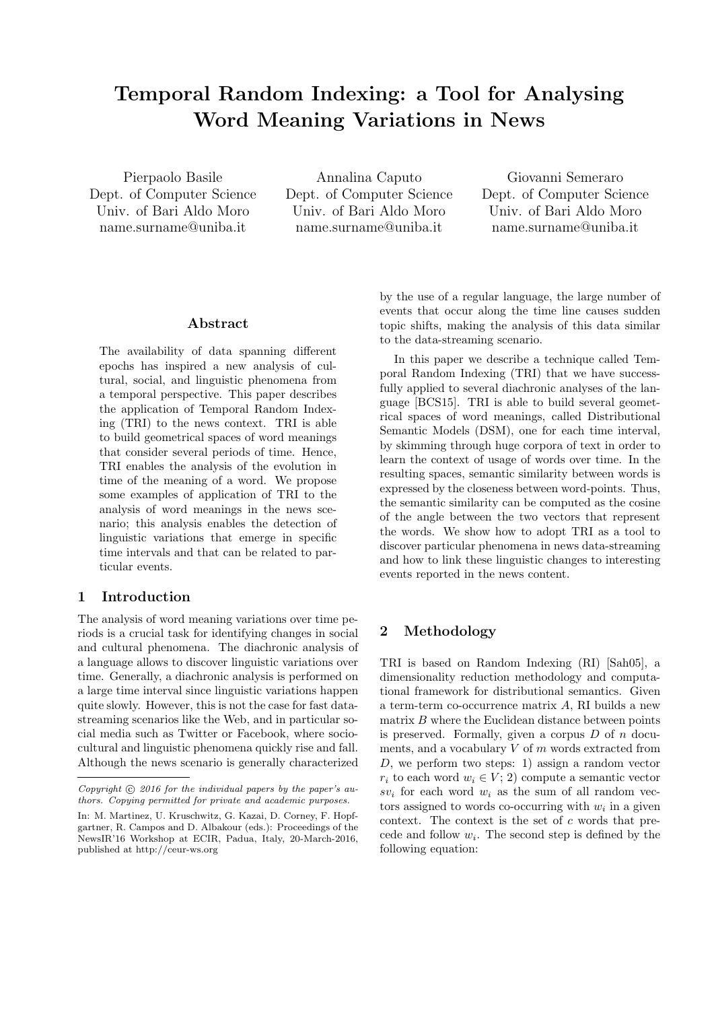# **Temporal Random Indexing: a Tool for Analysing Word Meaning Variations in News**

Pierpaolo Basile Dept. of Computer Science Univ. of Bari Aldo Moro name.surname@uniba.it

Annalina Caputo Dept. of Computer Science Univ. of Bari Aldo Moro name.surname@uniba.it

Giovanni Semeraro Dept. of Computer Science Univ. of Bari Aldo Moro name.surname@uniba.it

## **Abstract**

The availability of data spanning different epochs has inspired a new analysis of cultural, social, and linguistic phenomena from a temporal perspective. This paper describes the application of Temporal Random Indexing (TRI) to the news context. TRI is able to build geometrical spaces of word meanings that consider several periods of time. Hence, TRI enables the analysis of the evolution in time of the meaning of a word. We propose some examples of application of TRI to the analysis of word meanings in the news scenario; this analysis enables the detection of linguistic variations that emerge in specific time intervals and that can be related to particular events.

## **1 Introduction**

The analysis of word meaning variations over time periods is a crucial task for identifying changes in social and cultural phenomena. The diachronic analysis of a language allows to discover linguistic variations over time. Generally, a diachronic analysis is performed on a large time interval since linguistic variations happen quite slowly. However, this is not the case for fast datastreaming scenarios like the Web, and in particular social media such as Twitter or Facebook, where sociocultural and linguistic phenomena quickly rise and fall. Although the news scenario is generally characterized

by the use of a regular language, the large number of events that occur along the time line causes sudden topic shifts, making the analysis of this data similar to the data-streaming scenario.

In this paper we describe a technique called Temporal Random Indexing (TRI) that we have successfully applied to several diachronic analyses of the language [BCS15]. TRI is able to build several geometrical spaces of word meanings, called Distributional Semantic Models (DSM), one for each time interval, by skimming through huge corpora of text in order to learn the context of usage of words over time. In the resulting spaces, semantic similarity between words is expressed by the closeness between word-points. Thus, the semantic similarity can be computed as the cosine of the angle between the two vectors that represent the words. We show how to adopt TRI as a tool to discover particular phenomena in news data-streaming and how to link these linguistic changes to interesting events reported in the news content.

### **2 Methodology**

TRI is based on Random Indexing (RI) [Sah05], a dimensionality reduction methodology and computational framework for distributional semantics. Given a term-term co-occurrence matrix *A*, RI builds a new matrix *B* where the Euclidean distance between points is preserved. Formally, given a corpus *D* of *n* documents, and a vocabulary *V* of *m* words extracted from *D*, we perform two steps: 1) assign a random vector  $r_i$  to each word  $w_i \in V$ ; 2) compute a semantic vector  $sv_i$  for each word  $w_i$  as the sum of all random vectors assigned to words co-occurring with  $w_i$  in a given context. The context is the set of *c* words that precede and follow  $w_i$ . The second step is defined by the following equation:

Copyright  $\circled{c}$  2016 for the individual papers by the paper's au*thors. Copying permitted for private and academic purposes.*

In: M. Martinez, U. Kruschwitz, G. Kazai, D. Corney, F. Hopfgartner, R. Campos and D. Albakour (eds.): Proceedings of the NewsIR'16 Workshop at ECIR, Padua, Italy, 20-March-2016, published at http://ceur-ws.org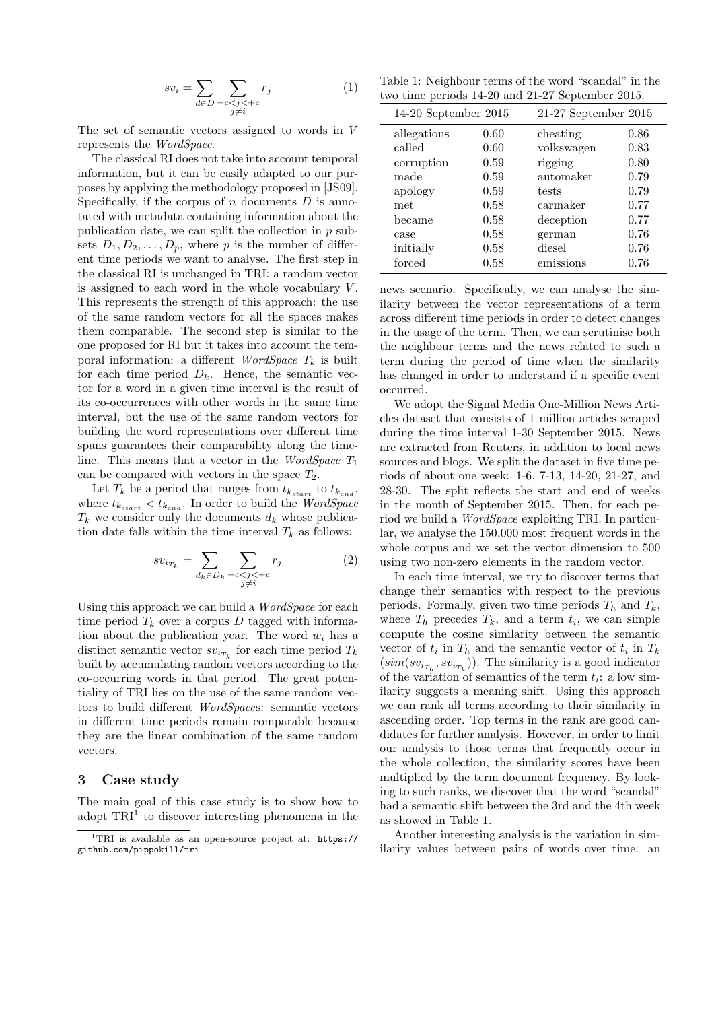$$
sv_i = \sum_{d \in D} \sum_{\substack{-c < j < +c \\ j \neq i}} r_j \tag{1}
$$

The set of semantic vectors assigned to words in *V* represents the *WordSpace*.

The classical RI does not take into account temporal information, but it can be easily adapted to our purposes by applying the methodology proposed in [JS09]. Specifically, if the corpus of *n* documents *D* is annotated with metadata containing information about the publication date, we can split the collection in *p* subsets  $D_1, D_2, \ldots, D_p$ , where p is the number of different time periods we want to analyse. The first step in the classical RI is unchanged in TRI: a random vector is assigned to each word in the whole vocabulary *V* . This represents the strength of this approach: the use of the same random vectors for all the spaces makes them comparable. The second step is similar to the one proposed for RI but it takes into account the temporal information: a different *WordSpace*  $T_k$  is built for each time period  $D_k$ . Hence, the semantic vector for a word in a given time interval is the result of its co-occurrences with other words in the same time interval, but the use of the same random vectors for building the word representations over different time spans guarantees their comparability along the timeline. This means that a vector in the *WordSpace T*<sup>1</sup> can be compared with vectors in the space  $T_2$ .

Let  $T_k$  be a period that ranges from  $t_{k_{start}}$  to  $t_{k_{end}}$ , where  $t_{k_{start}} < t_{k_{end}}$ . In order to build the *WordSpace*  $T_k$  we consider only the documents  $d_k$  whose publication date falls within the time interval  $T_k$  as follows:

$$
sv_{i_{T_k}} = \sum_{d_k \in D_k} \sum_{\substack{-c < j < +c \\ j \neq i}} r_j \tag{2}
$$

Using this approach we can build a *WordSpace* for each time period  $T_k$  over a corpus  $D$  tagged with information about the publication year. The word  $w_i$  has a distinct semantic vector  $sv_{i_{T_k}}$  for each time period  $T_k$ built by accumulating random vectors according to the co-occurring words in that period. The great potentiality of TRI lies on the use of the same random vectors to build different *WordSpace*s: semantic vectors in different time periods remain comparable because they are the linear combination of the same random vectors.

#### **3 Case study**

The main goal of this case study is to show how to adopt  $TRI<sup>1</sup>$  to discover interesting phenomena in the

Table 1: Neighbour terms of the word "scandal" in the two time periods 14-20 and 21-27 September 2015.

| $14-20$ September $2015$ |      | $21-27$ September $2015$ |      |
|--------------------------|------|--------------------------|------|
| allegations              | 0.60 | cheating                 | 0.86 |
| called                   | 0.60 | volkswagen               | 0.83 |
| corruption               | 0.59 | rigging                  | 0.80 |
| made                     | 0.59 | automaker                | 0.79 |
| apology                  | 0.59 | tests                    | 0.79 |
| met                      | 0.58 | carmaker                 | 0.77 |
| became                   | 0.58 | deception                | 0.77 |
| case                     | 0.58 | german                   | 0.76 |
| initially                | 0.58 | diesel                   | 0.76 |
| forced                   | 0.58 | emissions                | 0.76 |

news scenario. Specifically, we can analyse the similarity between the vector representations of a term across different time periods in order to detect changes in the usage of the term. Then, we can scrutinise both the neighbour terms and the news related to such a term during the period of time when the similarity has changed in order to understand if a specific event occurred.

We adopt the Signal Media One-Million News Articles dataset that consists of 1 million articles scraped during the time interval 1-30 September 2015. News are extracted from Reuters, in addition to local news sources and blogs. We split the dataset in five time periods of about one week: 1-6, 7-13, 14-20, 21-27, and 28-30. The split reflects the start and end of weeks in the month of September 2015. Then, for each period we build a *WordSpace* exploiting TRI. In particular, we analyse the 150,000 most frequent words in the whole corpus and we set the vector dimension to 500 using two non-zero elements in the random vector.

In each time interval, we try to discover terms that change their semantics with respect to the previous periods. Formally, given two time periods  $T_h$  and  $T_k$ , where  $T_h$  precedes  $T_k$ , and a term  $t_i$ , we can simple compute the cosine similarity between the semantic vector of  $t_i$  in  $T_h$  and the semantic vector of  $t_i$  in  $T_k$  $(\text{sim}(sv_{i_{T_h}}, sv_{i_{T_k}}))$ . The similarity is a good indicator of the variation of semantics of the term  $t_i$ : a low similarity suggests a meaning shift. Using this approach we can rank all terms according to their similarity in ascending order. Top terms in the rank are good candidates for further analysis. However, in order to limit our analysis to those terms that frequently occur in the whole collection, the similarity scores have been multiplied by the term document frequency. By looking to such ranks, we discover that the word "scandal" had a semantic shift between the 3rd and the 4th week as showed in Table 1.

Another interesting analysis is the variation in similarity values between pairs of words over time: an

<sup>&</sup>lt;sup>1</sup>TRI is available as an open-source project at:  $https://$ github.com/pippokill/tri